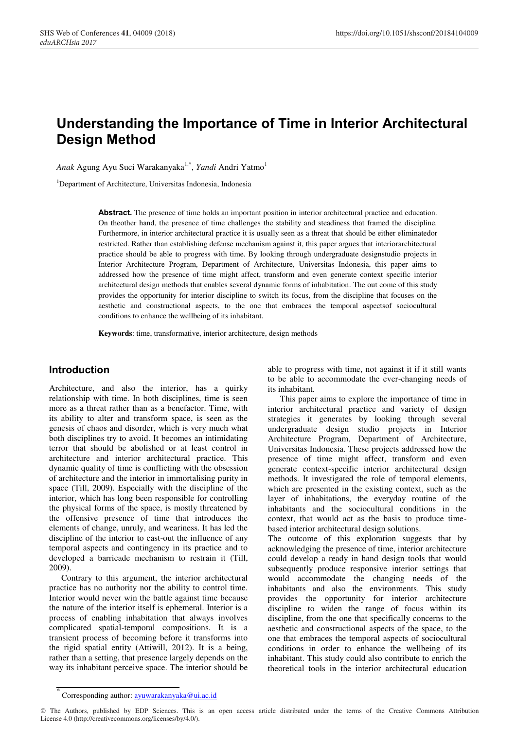# **Understanding the Importance of Time in Interior Architectural Design Method**

*Anak* Agung Ayu Suci Warakanyaka1,\*, *Yandi* Andri Yatmo<sup>1</sup>

1 Department of Architecture, Universitas Indonesia, Indonesia

**Abstract.** The presence of time holds an important position in interior architectural practice and education. On theother hand, the presence of time challenges the stability and steadiness that framed the discipline. Furthermore, in interior architectural practice it is usually seen as a threat that should be either eliminatedor restricted. Rather than establishing defense mechanism against it, this paper argues that interiorarchitectural practice should be able to progress with time. By looking through undergraduate designstudio projects in Interior Architecture Program, Department of Architecture, Universitas Indonesia, this paper aims to addressed how the presence of time might affect, transform and even generate context specific interior architectural design methods that enables several dynamic forms of inhabitation. The out come of this study provides the opportunity for interior discipline to switch its focus, from the discipline that focuses on the aesthetic and constructional aspects, to the one that embraces the temporal aspectsof sociocultural conditions to enhance the wellbeing of its inhabitant.

**Keywords**: time, transformative, interior architecture, design methods

### **Introduction**

Architecture, and also the interior, has a quirky relationship with time. In both disciplines, time is seen more as a threat rather than as a benefactor. Time, with its ability to alter and transform space, is seen as the genesis of chaos and disorder, which is very much what both disciplines try to avoid. It becomes an intimidating terror that should be abolished or at least control in architecture and interior architectural practice. This dynamic quality of time is conflicting with the obsession of architecture and the interior in immortalising purity in space (Till, 2009). Especially with the discipline of the interior, which has long been responsible for controlling the physical forms of the space, is mostly threatened by the offensive presence of time that introduces the elements of change, unruly, and weariness. It has led the discipline of the interior to cast-out the influence of any temporal aspects and contingency in its practice and to developed a barricade mechanism to restrain it (Till, 2009).

Contrary to this argument, the interior architectural practice has no authority nor the ability to control time. Interior would never win the battle against time because the nature of the interior itself is ephemeral. Interior is a process of enabling inhabitation that always involves complicated spatial-temporal compositions. It is a transient process of becoming before it transforms into the rigid spatial entity (Attiwill, 2012). It is a being, rather than a setting, that presence largely depends on the way its inhabitant perceive space. The interior should be

able to progress with time, not against it if it still wants to be able to accommodate the ever-changing needs of its inhabitant.

This paper aims to explore the importance of time in interior architectural practice and variety of design strategies it generates by looking through several undergraduate design studio projects in Interior Architecture Program, Department of Architecture, Universitas Indonesia. These projects addressed how the presence of time might affect, transform and even generate context-specific interior architectural design methods. It investigated the role of temporal elements, which are presented in the existing context, such as the layer of inhabitations, the everyday routine of the inhabitants and the sociocultural conditions in the context, that would act as the basis to produce timebased interior architectural design solutions.

The outcome of this exploration suggests that by acknowledging the presence of time, interior architecture could develop a ready in hand design tools that would subsequently produce responsive interior settings that would accommodate the changing needs of the inhabitants and also the environments. This study provides the opportunity for interior architecture discipline to widen the range of focus within its discipline, from the one that specifically concerns to the aesthetic and constructional aspects of the space, to the one that embraces the temporal aspects of sociocultural conditions in order to enhance the wellbeing of its inhabitant. This study could also contribute to enrich the theoretical tools in the interior architectural education

<sup>\*</sup> Corresponding author: ayuwarakanyaka@ui.ac.id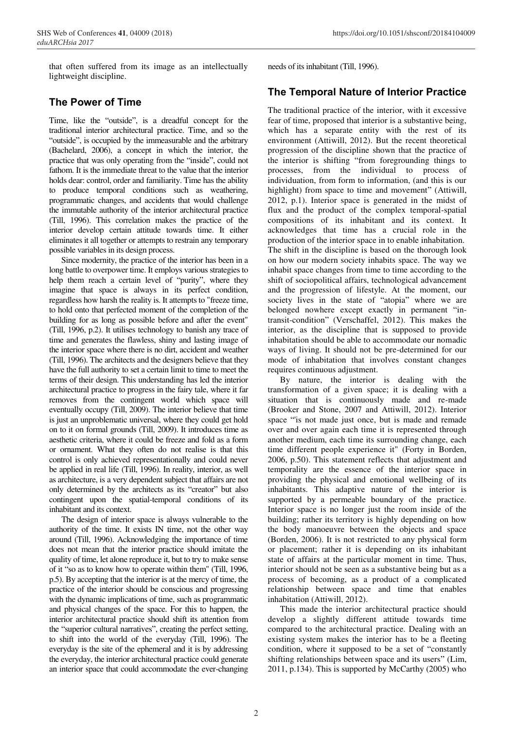that often suffered from its image as an intellectually lightweight discipline.

# **The Power of Time**

Time, like the "outside", is a dreadful concept for the traditional interior architectural practice. Time, and so the "outside", is occupied by the immeasurable and the arbitrary (Bachelard, 2006), a concept in which the interior, the practice that was only operating from the "inside", could not fathom. It is the immediate threat to the value that the interior holds dear: control, order and familiarity. Time has the ability to produce temporal conditions such as weathering, programmatic changes, and accidents that would challenge the immutable authority of the interior architectural practice (Till, 1996). This correlation makes the practice of the interior develop certain attitude towards time. It either eliminates it all together or attempts to restrain any temporary possible variables in its design process.

Since modernity, the practice of the interior has been in a long battle to overpower time. It employs various strategies to help them reach a certain level of "purity", where they imagine that space is always in its perfect condition, regardless how harsh the reality is. It attempts to "freeze time, to hold onto that perfected moment of the completion of the building for as long as possible before and after the event" (Till, 1996, p.2). It utilises technology to banish any trace of time and generates the flawless, shiny and lasting image of the interior space where there is no dirt, accident and weather (Till, 1996). The architects and the designers believe that they have the full authority to set a certain limit to time to meet the terms of their design. This understanding has led the interior architectural practice to progress in the fairy tale, where it far removes from the contingent world which space will eventually occupy (Till, 2009). The interior believe that time is just an unproblematic universal, where they could get hold on to it on formal grounds (Till, 2009). It introduces time as aesthetic criteria, where it could be freeze and fold as a form or ornament. What they often do not realise is that this control is only achieved representationally and could never be applied in real life (Till, 1996). In reality, interior, as well as architecture, is a very dependent subject that affairs are not only determined by the architects as its "creator" but also contingent upon the spatial-temporal conditions of its inhabitant and its context.

The design of interior space is always vulnerable to the authority of the time. It exists IN time, not the other way around (Till, 1996). Acknowledging the importance of time does not mean that the interior practice should imitate the quality of time, let alone reproduce it, but to try to make sense of it "so as to know how to operate within them" (Till, 1996, p.5). By accepting that the interior is at the mercy of time, the practice of the interior should be conscious and progressing with the dynamic implications of time, such as programmatic and physical changes of the space. For this to happen, the interior architectural practice should shift its attention from the "superior cultural narratives", creating the perfect setting, to shift into the world of the everyday (Till, 1996). The everyday is the site of the ephemeral and it is by addressing the everyday, the interior architectural practice could generate an interior space that could accommodate the ever-changing

needs of its inhabitant (Till, 1996).

# **The Temporal Nature of Interior Practice**

The traditional practice of the interior, with it excessive fear of time, proposed that interior is a substantive being, which has a separate entity with the rest of its environment (Attiwill, 2012). But the recent theoretical progression of the discipline shown that the practice of the interior is shifting "from foregrounding things to processes, from the individual to process of individuation, from form to information, (and this is our highlight) from space to time and movement" (Attiwill, 2012, p.1). Interior space is generated in the midst of flux and the product of the complex temporal-spatial compositions of its inhabitant and its context. It acknowledges that time has a crucial role in the production of the interior space in to enable inhabitation. The shift in the discipline is based on the thorough look on how our modern society inhabits space. The way we inhabit space changes from time to time according to the shift of sociopolitical affairs, technological advancement and the progression of lifestyle. At the moment, our society lives in the state of "atopia" where we are belonged nowhere except exactly in permanent "intransit-condition" (Verschaffel, 2012). This makes the interior, as the discipline that is supposed to provide inhabitation should be able to accommodate our nomadic ways of living. It should not be pre-determined for our mode of inhabitation that involves constant changes requires continuous adjustment.

By nature, the interior is dealing with the transformation of a given space; it is dealing with a situation that is continuously made and re-made (Brooker and Stone, 2007 and Attiwill, 2012). Interior space "'is not made just once, but is made and remade over and over again each time it is represented through another medium, each time its surrounding change, each time different people experience it" (Forty in Borden, 2006, p.50). This statement reflects that adjustment and temporality are the essence of the interior space in providing the physical and emotional wellbeing of its inhabitants. This adaptive nature of the interior is supported by a permeable boundary of the practice. Interior space is no longer just the room inside of the building; rather its territory is highly depending on how the body manoeuvre between the objects and space (Borden, 2006). It is not restricted to any physical form or placement; rather it is depending on its inhabitant state of affairs at the particular moment in time. Thus, interior should not be seen as a substantive being but as a process of becoming, as a product of a complicated relationship between space and time that enables inhabitation (Attiwill, 2012).

This made the interior architectural practice should develop a slightly different attitude towards time compared to the architectural practice. Dealing with an existing system makes the interior has to be a fleeting condition, where it supposed to be a set of "constantly shifting relationships between space and its users" (Lim, 2011, p.134). This is supported by McCarthy (2005) who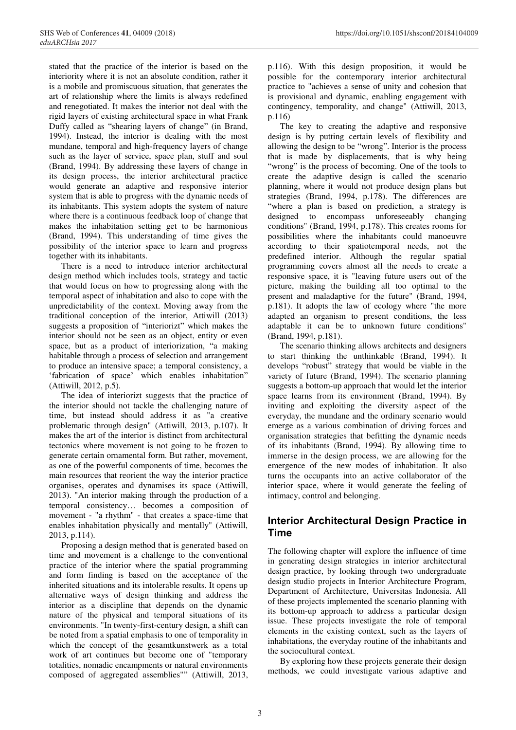stated that the practice of the interior is based on the interiority where it is not an absolute condition, rather it is a mobile and promiscuous situation, that generates the art of relationship where the limits is always redefined and renegotiated. It makes the interior not deal with the rigid layers of existing architectural space in what Frank Duffy called as "shearing layers of change" (in Brand, 1994). Instead, the interior is dealing with the most mundane, temporal and high-frequency layers of change such as the layer of service, space plan, stuff and soul (Brand, 1994). By addressing these layers of change in its design process, the interior architectural practice would generate an adaptive and responsive interior system that is able to progress with the dynamic needs of its inhabitants. This system adopts the system of nature where there is a continuous feedback loop of change that makes the inhabitation setting get to be harmonious (Brand, 1994). This understanding of time gives the possibility of the interior space to learn and progress together with its inhabitants.

There is a need to introduce interior architectural design method which includes tools, strategy and tactic that would focus on how to progressing along with the temporal aspect of inhabitation and also to cope with the unpredictability of the context. Moving away from the traditional conception of the interior, Attiwill (2013) suggests a proposition of "interiorizt" which makes the interior should not be seen as an object, entity or even space, but as a product of interiorization, "a making habitable through a process of selection and arrangement to produce an intensive space; a temporal consistency, a 'fabrication of space' which enables inhabitation" (Attiwill, 2012, p.5).

The idea of interiorizt suggests that the practice of the interior should not tackle the challenging nature of time, but instead should address it as "a creative problematic through design" (Attiwill, 2013, p.107). It makes the art of the interior is distinct from architectural tectonics where movement is not going to be frozen to generate certain ornamental form. But rather, movement, as one of the powerful components of time, becomes the main resources that reorient the way the interior practice organises, operates and dynamises its space (Attiwill, 2013). "An interior making through the production of a temporal consistency… becomes a composition of movement - "a rhythm" - that creates a space-time that enables inhabitation physically and mentally" (Attiwill, 2013, p.114).

Proposing a design method that is generated based on time and movement is a challenge to the conventional practice of the interior where the spatial programming and form finding is based on the acceptance of the inherited situations and its intolerable results. It opens up alternative ways of design thinking and address the interior as a discipline that depends on the dynamic nature of the physical and temporal situations of its environments. "In twenty-first-century design, a shift can be noted from a spatial emphasis to one of temporality in which the concept of the gesamtkunstwerk as a total work of art continues but become one of "temporary totalities, nomadic encampments or natural environments composed of aggregated assemblies"" (Attiwill, 2013, p.116). With this design proposition, it would be possible for the contemporary interior architectural practice to "achieves a sense of unity and cohesion that is provisional and dynamic, enabling engagement with contingency, temporality, and change" (Attiwill, 2013, p.116)

The key to creating the adaptive and responsive design is by putting certain levels of flexibility and allowing the design to be "wrong". Interior is the process that is made by displacements, that is why being "wrong" is the process of becoming. One of the tools to create the adaptive design is called the scenario planning, where it would not produce design plans but strategies (Brand, 1994, p.178). The differences are "where a plan is based on prediction, a strategy is designed to encompass unforeseeably changing conditions" (Brand, 1994, p.178). This creates rooms for possibilities where the inhabitants could manoeuvre according to their spatiotemporal needs, not the predefined interior. Although the regular spatial programming covers almost all the needs to create a responsive space, it is "leaving future users out of the picture, making the building all too optimal to the present and maladaptive for the future" (Brand, 1994, p.181). It adopts the law of ecology where "the more adapted an organism to present conditions, the less adaptable it can be to unknown future conditions" (Brand, 1994, p.181).

The scenario thinking allows architects and designers to start thinking the unthinkable (Brand, 1994). It develops "robust" strategy that would be viable in the variety of future (Brand, 1994). The scenario planning suggests a bottom-up approach that would let the interior space learns from its environment (Brand, 1994). By inviting and exploiting the diversity aspect of the everyday, the mundane and the ordinary scenario would emerge as a various combination of driving forces and organisation strategies that befitting the dynamic needs of its inhabitants (Brand, 1994). By allowing time to immerse in the design process, we are allowing for the emergence of the new modes of inhabitation. It also turns the occupants into an active collaborator of the interior space, where it would generate the feeling of intimacy, control and belonging.

# **Interior Architectural Design Practice in Time**

The following chapter will explore the influence of time in generating design strategies in interior architectural design practice, by looking through two undergraduate design studio projects in Interior Architecture Program, Department of Architecture, Universitas Indonesia. All of these projects implemented the scenario planning with its bottom-up approach to address a particular design issue. These projects investigate the role of temporal elements in the existing context, such as the layers of inhabitations, the everyday routine of the inhabitants and the sociocultural context.

 By exploring how these projects generate their design methods, we could investigate various adaptive and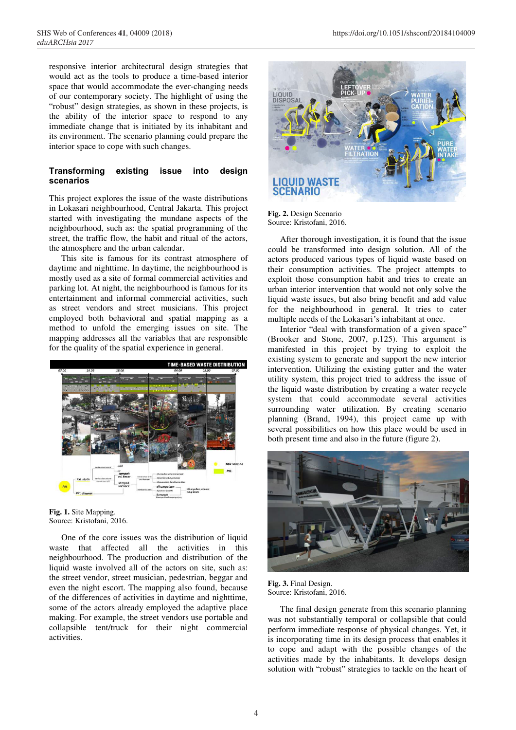responsive interior architectural design strategies that would act as the tools to produce a time-based interior space that would accommodate the ever-changing needs of our contemporary society. The highlight of using the "robust" design strategies, as shown in these projects, is the ability of the interior space to respond to any immediate change that is initiated by its inhabitant and its environment. The scenario planning could prepare the interior space to cope with such changes.

#### **Transforming existing issue into design scenarios**

This project explores the issue of the waste distributions in Lokasari neighbourhood, Central Jakarta. This project started with investigating the mundane aspects of the neighbourhood, such as: the spatial programming of the street, the traffic flow, the habit and ritual of the actors, the atmosphere and the urban calendar.

 This site is famous for its contrast atmosphere of daytime and nighttime. In daytime, the neighbourhood is mostly used as a site of formal commercial activities and parking lot. At night, the neighbourhood is famous for its entertainment and informal commercial activities, such as street vendors and street musicians. This project employed both behavioral and spatial mapping as a method to unfold the emerging issues on site. The mapping addresses all the variables that are responsible for the quality of the spatial experience in general.



**Fig. 1.** Site Mapping. Source: Kristofani, 2016.

One of the core issues was the distribution of liquid waste that affected all the activities in this neighbourhood. The production and distribution of the liquid waste involved all of the actors on site, such as: the street vendor, street musician, pedestrian, beggar and even the night escort. The mapping also found, because of the differences of activities in daytime and nighttime, some of the actors already employed the adaptive place making. For example, the street vendors use portable and collapsible tent/truck for their night commercial activities.



**Fig. 2.** Design Scenario Source: Kristofani, 2016.

 After thorough investigation, it is found that the issue could be transformed into design solution. All of the actors produced various types of liquid waste based on their consumption activities. The project attempts to exploit those consumption habit and tries to create an urban interior intervention that would not only solve the liquid waste issues, but also bring benefit and add value for the neighbourhood in general. It tries to cater multiple needs of the Lokasari's inhabitant at once.

Interior "deal with transformation of a given space" (Brooker and Stone, 2007, p.125). This argument is manifested in this project by trying to exploit the existing system to generate and support the new interior intervention. Utilizing the existing gutter and the water utility system, this project tried to address the issue of the liquid waste distribution by creating a water recycle system that could accommodate several activities surrounding water utilization. By creating scenario planning (Brand, 1994), this project came up with several possibilities on how this place would be used in both present time and also in the future (figure 2).



**Fig. 3.** Final Design. Source: Kristofani, 2016.

The final design generate from this scenario planning was not substantially temporal or collapsible that could perform immediate response of physical changes. Yet, it is incorporating time in its design process that enables it to cope and adapt with the possible changes of the activities made by the inhabitants. It develops design solution with "robust" strategies to tackle on the heart of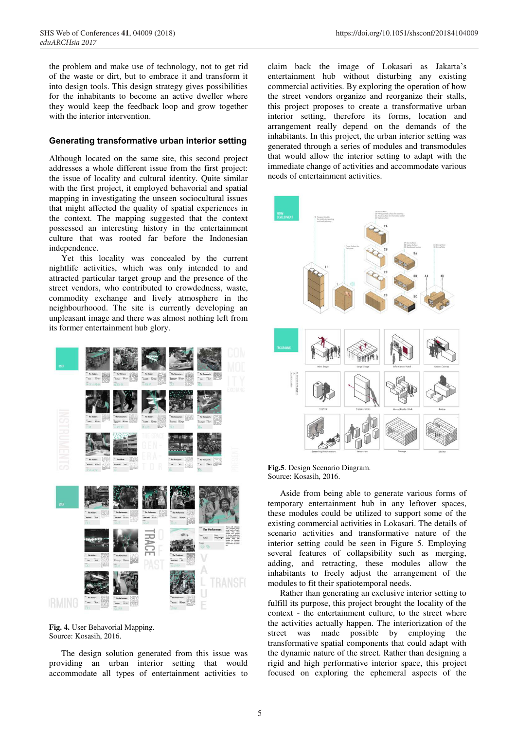the problem and make use of technology, not to get rid of the waste or dirt, but to embrace it and transform it into design tools. This design strategy gives possibilities for the inhabitants to become an active dweller where they would keep the feedback loop and grow together with the interior intervention.

#### **Generating transformative urban interior setting**

Although located on the same site, this second project addresses a whole different issue from the first project: the issue of locality and cultural identity. Quite similar with the first project, it employed behavorial and spatial mapping in investigating the unseen sociocultural issues that might affected the quality of spatial experiences in the context. The mapping suggested that the context possessed an interesting history in the entertainment culture that was rooted far before the Indonesian independence.

 Yet this locality was concealed by the current nightlife activities, which was only intended to and attracted particular target group and the presence of the street vendors, who contributed to crowdedness, waste, commodity exchange and lively atmosphere in the neighbourhoood. The site is currently developing an unpleasant image and there was almost nothing left from its former entertainment hub glory.



**Fig. 4.** User Behavorial Mapping. Source: Kosasih, 2016.

 The design solution generated from this issue was providing an urban interior setting that would accommodate all types of entertainment activities to claim back the image of Lokasari as Jakarta's entertainment hub without disturbing any existing commercial activities. By exploring the operation of how the street vendors organize and reorganize their stalls, this project proposes to create a transformative urban interior setting, therefore its forms, location and arrangement really depend on the demands of the inhabitants. In this project, the urban interior setting was generated through a series of modules and transmodules that would allow the interior setting to adapt with the immediate change of activities and accommodate various needs of entertainment activities.



**Fig.5**. Design Scenario Diagram. Source: Kosasih, 2016.

 Aside from being able to generate various forms of temporary entertainment hub in any leftover spaces, these modules could be utilized to support some of the existing commercial activities in Lokasari. The details of scenario activities and transformative nature of the interior setting could be seen in Figure 5. Employing several features of collapsibility such as merging, adding, and retracting, these modules allow the inhabitants to freely adjust the arrangement of the modules to fit their spatiotemporal needs.

 Rather than generating an exclusive interior setting to fulfill its purpose, this project brought the locality of the context - the entertainment culture, to the street where the activities actually happen. The interiorization of the street was made possible by employing the transformative spatial components that could adapt with the dynamic nature of the street. Rather than designing a rigid and high performative interior space, this project focused on exploring the ephemeral aspects of the